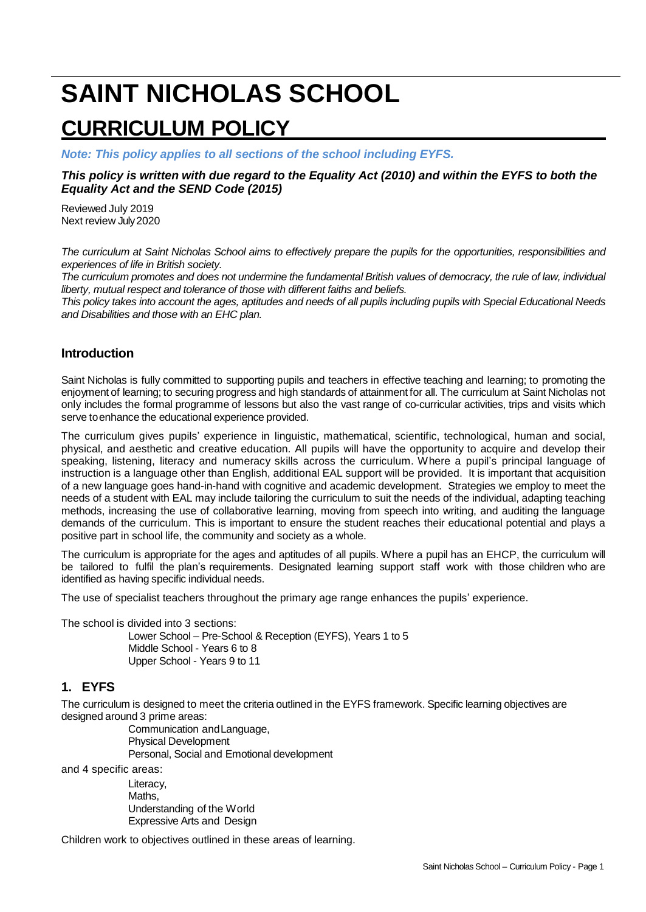# **SAINT NICHOLAS SCHOOL CURRICULUM POLICY**

*Note: This policy applies to all sections of the school including EYFS.*

#### *This policy is written with due regard to the Equality Act (2010) and within the EYFS to both the Equality Act and the SEND Code (2015)*

Reviewed July 2019 Next review July2020

*The curriculum at Saint Nicholas School aims to effectively prepare the pupils for the opportunities, responsibilities and experiences of life in British society.*

*The curriculum promotes and does not undermine the fundamental British values of democracy, the rule of law, individual liberty, mutual respect and tolerance of those with different faiths and beliefs.* 

*This policy takes into account the ages, aptitudes and needs of all pupils including pupils with Special Educational Needs and Disabilities and those with an EHC plan.* 

## **Introduction**

Saint Nicholas is fully committed to supporting pupils and teachers in effective teaching and learning; to promoting the enjoyment of learning; to securing progress and high standards of attainment for all. The curriculum at Saint Nicholas not only includes the formal programme of lessons but also the vast range of co-curricular activities, trips and visits which serve toenhance the educational experience provided.

The curriculum gives pupils' experience in linguistic, mathematical, scientific, technological, human and social, physical, and aesthetic and creative education. All pupils will have the opportunity to acquire and develop their speaking, listening, literacy and numeracy skills across the curriculum. Where a pupil's principal language of instruction is a language other than English, additional EAL support will be provided. It is important that acquisition of a new language goes hand-in-hand with cognitive and academic development. Strategies we employ to meet the needs of a student with EAL may include tailoring the curriculum to suit the needs of the individual, adapting teaching methods, increasing the use of collaborative learning, moving from speech into writing, and auditing the language demands of the curriculum. This is important to ensure the student reaches their educational potential and plays a positive part in school life, the community and society as a whole.

The curriculum is appropriate for the ages and aptitudes of all pupils. Where a pupil has an EHCP, the curriculum will be tailored to fulfil the plan's requirements. Designated learning support staff work with those children who are identified as having specific individual needs.

The use of specialist teachers throughout the primary age range enhances the pupils' experience.

The school is divided into 3 sections:

Lower School – Pre-School & Reception (EYFS), Years 1 to 5 Middle School - Years 6 to 8 Upper School - Years 9 to 11

# **1. EYFS**

The curriculum is designed to meet the criteria outlined in the EYFS framework. Specific learning objectives are designed around 3 prime areas:

Communication andLanguage, Physical Development Personal, Social and Emotional development

and 4 specific areas:

Literacy, Maths, Understanding of the World Expressive Arts and Design

Children work to objectives outlined in these areas of learning.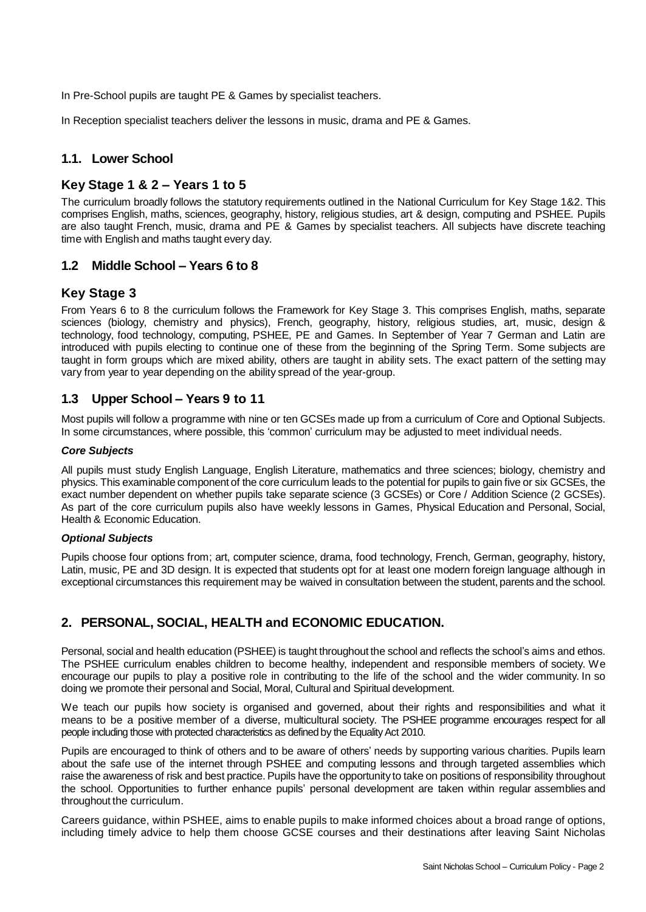In Pre-School pupils are taught PE & Games by specialist teachers.

In Reception specialist teachers deliver the lessons in music, drama and PE & Games.

# **1.1. Lower School**

# **Key Stage 1 & 2 – Years 1 to 5**

The curriculum broadly follows the statutory requirements outlined in the National Curriculum for Key Stage 1&2. This comprises English, maths, sciences, geography, history, religious studies, art & design, computing and PSHEE. Pupils are also taught French, music, drama and PE & Games by specialist teachers. All subjects have discrete teaching time with English and maths taught every day.

## **1.2 Middle School – Years 6 to 8**

# **Key Stage 3**

From Years 6 to 8 the curriculum follows the Framework for Key Stage 3. This comprises English, maths, separate sciences (biology, chemistry and physics), French, geography, history, religious studies, art, music, design & technology, food technology, computing, PSHEE, PE and Games. In September of Year 7 German and Latin are introduced with pupils electing to continue one of these from the beginning of the Spring Term. Some subjects are taught in form groups which are mixed ability, others are taught in ability sets. The exact pattern of the setting may vary from year to year depending on the ability spread of the year-group.

# **1.3 Upper School – Years 9 to 11**

Most pupils will follow a programme with nine or ten GCSEs made up from a curriculum of Core and Optional Subjects. In some circumstances, where possible, this 'common' curriculum may be adjusted to meet individual needs.

#### *Core Subjects*

All pupils must study English Language, English Literature, mathematics and three sciences; biology, chemistry and physics. This examinable component of the core curriculum leads to the potential for pupils to gain five or six GCSEs, the exact number dependent on whether pupils take separate science (3 GCSEs) or Core / Addition Science (2 GCSEs). As part of the core curriculum pupils also have weekly lessons in Games, Physical Education and Personal, Social, Health & Economic Education.

#### *Optional Subjects*

Pupils choose four options from; art, computer science, drama, food technology, French, German, geography, history, Latin, music, PE and 3D design. It is expected that students opt for at least one modern foreign language although in exceptional circumstances this requirement may be waived in consultation between the student, parents and the school.

# **2. PERSONAL, SOCIAL, HEALTH and ECONOMIC EDUCATION.**

Personal, social and health education (PSHEE) is taught throughout the school and reflects the school's aims and ethos. The PSHEE curriculum enables children to become healthy, independent and responsible members of society. We encourage our pupils to play a positive role in contributing to the life of the school and the wider community. In so doing we promote their personal and Social, Moral, Cultural and Spiritual development.

We teach our pupils how society is organised and governed, about their rights and responsibilities and what it means to be a positive member of a diverse, multicultural society. The PSHEE programme encourages respect for all people including those with protected characteristics as defined by the Equality Act 2010.

Pupils are encouraged to think of others and to be aware of others' needs by supporting various charities. Pupils learn about the safe use of the internet through PSHEE and computing lessons and through targeted assemblies which raise the awareness of risk and best practice. Pupils have the opportunity to take on positions of responsibility throughout the school. Opportunities to further enhance pupils' personal development are taken within regular assemblies and throughout the curriculum.

Careers guidance, within PSHEE, aims to enable pupils to make informed choices about a broad range of options, including timely advice to help them choose GCSE courses and their destinations after leaving Saint Nicholas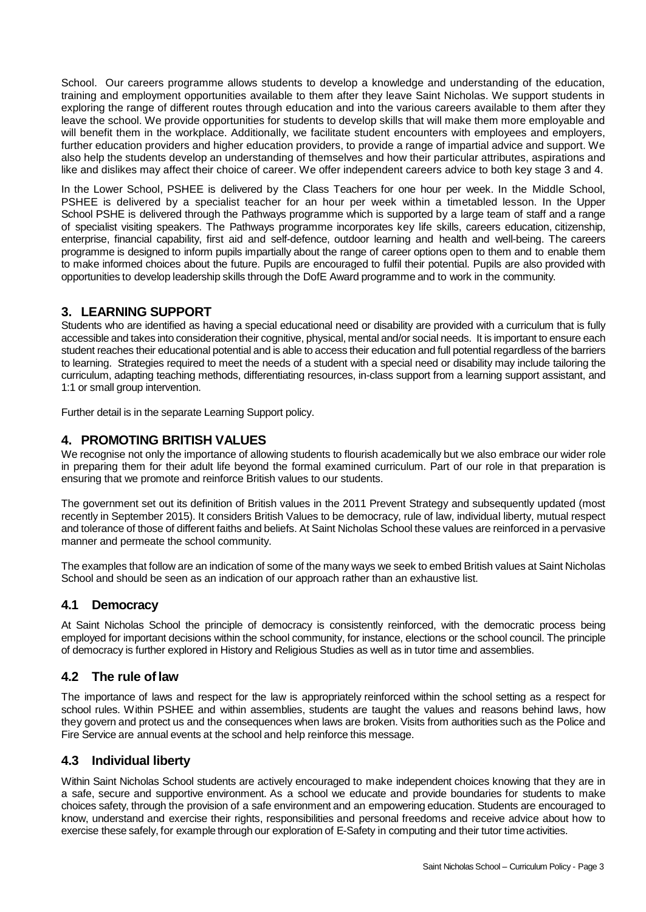School. Our careers programme allows students to develop a knowledge and understanding of the education, training and employment opportunities available to them after they leave Saint Nicholas. We support students in exploring the range of different routes through education and into the various careers available to them after they leave the school. We provide opportunities for students to develop skills that will make them more employable and will benefit them in the workplace. Additionally, we facilitate student encounters with employees and employers, further education providers and higher education providers, to provide a range of impartial advice and support. We also help the students develop an understanding of themselves and how their particular attributes, aspirations and like and dislikes may affect their choice of career. We offer independent careers advice to both key stage 3 and 4.

In the Lower School, PSHEE is delivered by the Class Teachers for one hour per week. In the Middle School, PSHEE is delivered by a specialist teacher for an hour per week within a timetabled lesson. In the Upper School PSHE is delivered through the Pathways programme which is supported by a large team of staff and a range of specialist visiting speakers. The Pathways programme incorporates key life skills, careers education, citizenship, enterprise, financial capability, first aid and self-defence, outdoor learning and health and well-being. The careers programme is designed to inform pupils impartially about the range of career options open to them and to enable them to make informed choices about the future. Pupils are encouraged to fulfil their potential. Pupils are also provided with opportunities to develop leadership skills through the DofE Award programme and to work in the community.

# **3. LEARNING SUPPORT**

Students who are identified as having a special educational need or disability are provided with a curriculum that is fully accessible and takes into consideration their cognitive, physical, mental and/or social needs. It is important to ensure each student reaches their educational potential and is able to access their education and full potential regardless of the barriers to learning. Strategies required to meet the needs of a student with a special need or disability may include tailoring the curriculum, adapting teaching methods, differentiating resources, in-class support from a learning support assistant, and 1:1 or small group intervention.

Further detail is in the separate Learning Support policy.

# **4. PROMOTING BRITISH VALUES**

We recognise not only the importance of allowing students to flourish academically but we also embrace our wider role in preparing them for their adult life beyond the formal examined curriculum. Part of our role in that preparation is ensuring that we promote and reinforce British values to our students.

The government set out its definition of British values in the 2011 Prevent Strategy and subsequently updated (most recently in September 2015). It considers British Values to be democracy, rule of law, individual liberty, mutual respect and tolerance of those of different faiths and beliefs. At Saint Nicholas School these values are reinforced in a pervasive manner and permeate the school community.

The examples that follow are an indication of some of the many ways we seek to embed British values at Saint Nicholas School and should be seen as an indication of our approach rather than an exhaustive list.

## **4.1 Democracy**

At Saint Nicholas School the principle of democracy is consistently reinforced, with the democratic process being employed for important decisions within the school community, for instance, elections or the school council. The principle of democracy is further explored in History and Religious Studies as well as in tutor time and assemblies.

# **4.2 The rule of law**

The importance of laws and respect for the law is appropriately reinforced within the school setting as a respect for school rules. Within PSHEE and within assemblies, students are taught the values and reasons behind laws, how they govern and protect us and the consequences when laws are broken. Visits from authorities such as the Police and Fire Service are annual events at the school and help reinforce this message.

## **4.3 Individual liberty**

Within Saint Nicholas School students are actively encouraged to make independent choices knowing that they are in a safe, secure and supportive environment. As a school we educate and provide boundaries for students to make choices safety, through the provision of a safe environment and an empowering education. Students are encouraged to know, understand and exercise their rights, responsibilities and personal freedoms and receive advice about how to exercise these safely, for example through our exploration of E-Safety in computing and their tutor time activities.